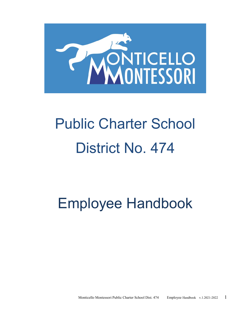

# Public Charter School District No. 474

# Employee Handbook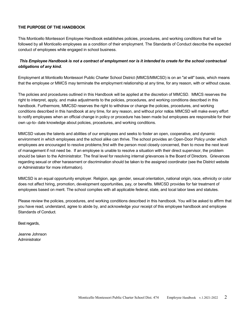# **THE PURPOSE OF THE HANDBOOK**

This Monticello Montessori Employee Handbook establishes policies, procedures, and working conditions that will be followed by all Monticello employees as a condition of their employment. The Standards of Conduct describe the expected conduct of employees while engaged in school business.

# *This Employee Handbook is not a contract of employment nor is it intended to create for the school contractual obligations of any kind.*

Employment at Monticello Montessori Public Charter School District (MMCS/MMCSD) is on an "at will" basis, which means that the employee *or* MMCS may terminate the employment relationship at any time, for any reason, with or without cause.

The policies and procedures outlined in this Handbook will be applied at the discretion of MMCSD. MMCS reserves the right to interpret, apply, and make adjustments to the policies, procedures, and working conditions described in this handbook. Furthermore, MMCSD reserves the right to withdraw or change the policies, procedures, and working conditions described in this handbook at any time, for any reason, and without prior notice. MMCSD will make every effort to notify employees when an official change in policy or procedure has been made but employees are responsible for their own up-to- date knowledge about policies, procedures, and working conditions.

MMCSD values the talents and abilities of our employees and seeks to foster an open, cooperative, and dynamic environment in which employees and the school alike can thrive. The school provides an Open-Door Policy under which employees are encouraged to resolve problems first with the person most closely concerned, then to move the next level of management if not need be. If an employee is unable to resolve a situation with their direct supervisor, the problem should be taken to the Administrator. The final level for resolving internal grievances is the Board of Directors. Grievances regarding sexual or other harassment or discrimination should be taken to the assigned coordinator (see the District website or Administrator for more information).

MMCSD is an equal opportunity employer. Religion, age, gender, sexual orientation, national origin, race, ethnicity or color does not affect hiring, promotion, development opportunities, pay, or benefits. MMCSD provides for fair treatment of employees based on merit. The school complies with all applicable federal, state, and local labor laws and statutes.

Please review the policies, procedures, and working conditions described in this handbook. You will be asked to affirm that you have read, understand, agree to abide by, and acknowledge your receipt of this employee handbook and employee Standards of Conduct.

Best regards,

Jeanne Johnson Administrator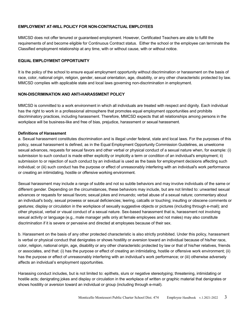# **EMPLOYMENT AT-WILL POLICY FOR NON-CONTRACTUAL EMPLOYEES**

MMCSD does not offer tenured or guaranteed employment. However, Certificated Teachers are able to fulfill the requirements of and become eligible for Continuous Contract status. Either the school or the employee can terminate the Classified employment relationship at any time, with or without cause, with or without notice.

# **EQUAL EMPLOYMENT OPPORTUNITY**

It is the policy of the school to ensure equal employment opportunity without discrimination or harassment on the basis of race, color, national origin, religion, gender, sexual orientation, age, disability, or any other characteristic protected by law. MMCSD complies with applicable state and local laws governing non-discrimination in employment.

# **NON-DISCRIMINATION AND ANTI-HARASSMENT POLICY**

MMCSD is committed to a work environment in which all individuals are treated with respect and dignity. Each individual has the right to work in a professional atmosphere that promotes equal employment opportunities and prohibits discriminatory practices, including harassment. Therefore, MMCSD expects that all relationships among persons in the workplace will be business-like and free of bias, prejudice, harassment or sexual harassment.

# **Definitions of Harassment**

a. Sexual harassment constitutes discrimination and is illegal under federal, state and local laws. For the purposes of this policy, sexual harassment is defined, as in the Equal Employment Opportunity Commission Guidelines, as unwelcome sexual advances, requests for sexual favors and other verbal or physical conduct of a sexual nature when, for example: (i) submission to such conduct is made either explicitly or implicitly a term or condition of an individual's employment; ii) submission to or rejection of such conduct by an individual is used as the basis for employment decisions affecting such individual; or (iii) such conduct has the purpose or effect of unreasonably interfering with an individual's work performance or creating an intimidating, hostile or offensive working environment.

Sexual harassment may include a range of subtle and not so subtle behaviors and may involve individuals of the same or different gender. Depending on the circumstances, these behaviors may include, but are not limited to: unwanted sexual advances or requests for sexual favors; sexual jokes and innuendo; verbal abuse of a sexual nature; commentary about an individual's body, sexual prowess or sexual deficiencies; leering, catcalls or touching; insulting or obscene comments or gestures; display or circulation in the workplace of sexually suggestive objects or pictures (including through e-mail); and other physical, verbal or visual conduct of a sexual nature. Sex-based harassment that is, harassment not involving sexual activity or language (e.g., male manager yells only at female employees and not males) may also constitute discrimination if it is severe or pervasive and directed at employees because of their sex.

b. Harassment on the basis of any other protected characteristic is also strictly prohibited. Under this policy, harassment is verbal or physical conduct that denigrates or shows hostility or aversion toward an individual because of his/her race, color, religion, national origin, age, disability or any other characteristic protected by law or that of his/her relatives, friends or associates, and that: (i) has the purpose or effect of creating an intimidating, hostile or offensive work environment; (ii) has the purpose or effect of unreasonably interfering with an individual's work performance; or (iii) otherwise adversely affects an individual's employment opportunities.

Harassing conduct includes, but is not limited to: epithets, slurs or negative stereotyping; threatening, intimidating or hostile acts; denigrating jokes and display or circulation in the workplace of written or graphic material that denigrates or shows hostility or aversion toward an individual or group (including through e-mail).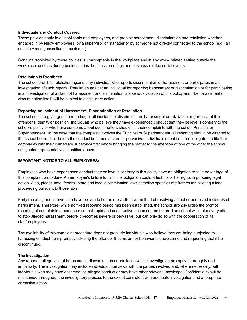# **Individuals and Conduct Covered**

These policies apply to all applicants and employees, and prohibit harassment, discrimination and retaliation whether engaged in by fellow employees, by a supervisor or manager or by someone not directly connected to the school (e.g., an outside vendor, consultant or customer).

Conduct prohibited by these policies is unacceptable in the workplace and in any work- related setting outside the workplace, such as during business trips, business meetings and business-related social events.

#### **Retaliation Is Prohibited**

The school prohibits retaliation against any individual who reports discrimination or harassment or participates in an investigation of such reports. Retaliation against an individual for reporting harassment or discrimination or for participating in an investigation of a claim of harassment or discrimination is a serious violation of this policy and, like harassment or discrimination itself, will be subject to disciplinary action.

#### **Reporting an Incident of Harassment, Discrimination or Retaliation**

The school strongly urges the reporting of all incidents of discrimination, harassment or retaliation, regardless of the offender's identity or position. Individuals who believe they have experienced conduct that they believe is contrary to the school's policy or who have concerns about such matters should file their complaints with the school Principal or Superintendent. In the case that the complaint involves the Principal or Superintendent, all reporting should be directed to the school board chair before the conduct becomes severe or pervasive. Individuals should not feel obligated to file their complaints with their immediate supervisor first before bringing the matter to the attention of one of the other the school designated representatives identified above.

#### **IMPORTANT NOTICE TO ALL EMPLOYEES:**

Employees who have experienced conduct they believe is contrary to this policy have an obligation to take advantage of this complaint procedure. An employee's failure to fulfill this obligation could affect his or her rights in pursuing legal action. Also, please note, federal, state and local discrimination laws establish specific time frames for initiating a legal proceeding pursuant to those laws.

Early reporting and intervention have proven to be the most effective method of resolving actual or perceived incidents of harassment. Therefore, while no fixed reporting period has been established, the school strongly urges the prompt reporting of complaints or concerns so that rapid and constructive action can be taken. The school will make every effort to stop alleged harassment before it becomes severe or pervasive, but can only do so with the cooperation of its staff/employees.

The availability of this complaint procedure does not preclude individuals who believe they are being subjected to harassing conduct from promptly advising the offender that his or her behavior is unwelcome and requesting that it be discontinued.

#### **The Investigation**

Any reported allegations of harassment, discrimination or retaliation will be investigated promptly, thoroughly and impartially. The investigation may include individual interviews with the parties involved and, where necessary, with individuals who may have observed the alleged conduct or may have other relevant knowledge. Confidentiality will be maintained throughout the investigatory process to the extent consistent with adequate investigation and appropriate corrective action.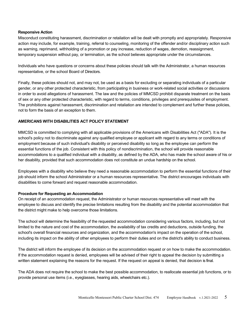#### **Responsive Action**

Misconduct constituting harassment, discrimination or retaliation will be dealt with promptly and appropriately. Responsive action may include, for example, training, referral to counseling, monitoring of the offender and/or disciplinary action such as warning, reprimand, withholding of a promotion or pay increase, reduction of wages, demotion, reassignment, temporary suspension without pay, or termination, as the school believes appropriate under the circumstances.

Individuals who have questions or concerns about these policies should talk with the Administrator, a human resources representative, or the school Board of Directors.

Finally, these policies should not, and may not, be used as a basis for excluding or separating individuals of a particular gender, or any other protected characteristic, from participating in business or work-related social activities or discussions in order to avoid allegations of harassment. The law and the policies of MMCSD prohibit disparate treatment on the basis of sex or any other protected characteristic, with regard to terms, conditions, privileges and prerequisites of employment. The prohibitions against harassment, discrimination and retaliation are intended to complement and further these policies, not to form the basis of an exception to them.

# **AMERICANS WITH DISABILITIES ACT POLICY STATEMENT**

MMCSD is committed to complying with all applicable provisions of the Americans with Disabilities Act ("ADA"). It is the school's policy not to discriminate against any qualified employee or applicant with regard to any terms or conditions of employment because of such individual's disability or perceived disability so long as the employee can perform the essential functions of the job. Consistent with this policy of nondiscrimination, the school will provide reasonable accommodations to a qualified individual with a disability, as defined by the ADA, who has made the school aware of his or her disability, provided that such accommodation does not constitute an undue hardship on the school.

Employees with a disability who believe they need a reasonable accommodation to perform the essential functions of their job should inform the school Administrator or a human resources representative. The district encourages individuals with disabilities to come forward and request reasonable accommodation.

# **Procedure for Requesting an Accommodation**

On receipt of an accommodation request, the Administrator or human resources representative will meet with the employee to discuss and identify the precise limitations resulting from the disability and the potential accommodation that the district might make to help overcome those limitations.

The school will determine the feasibility of the requested accommodation considering various factors, including, but not limited to the nature and cost of the accommodation, the availability of tax credits and deductions, outside funding, the school's overall financial resources and organization, and the accommodation's impact on the operation of the school, including its impact on the ability of other employees to perform their duties and on the district's ability to conduct business.

The district will inform the employee of its decision on the accommodation request or on how to make the accommodation. If the accommodation request is denied, employees will be advised of their right to appeal the decision by submitting a written statement explaining the reasons for the request. If the request on appeal is denied, that decision is final.

The ADA does not require the school to make the best possible accommodation, to reallocate essential job functions, or to provide personal use items (i.e., eyeglasses, hearing aids, wheelchairs etc.).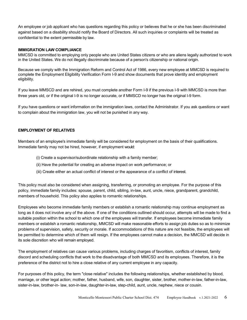An employee or job applicant who has questions regarding this policy or believes that he or she has been discriminated against based on a disability should notify the Board of Directors. All such inquiries or complaints will be treated as confidential to the extent permissible by law.

#### **IMMIGRATION LAW COMPLIANCE**

MMCSD is committed to employing only people who are United States citizens or who are aliens legally authorized to work in the United States. We do not illegally discriminate because of a person's citizenship or national origin.

Because we comply with the Immigration Reform and Control Act of 1986, every new employee at MMCSD is required to complete the Employment Eligibility Verification Form I-9 and show documents that prove identity and employment eligibility.

If you leave MMSCD and are rehired, you must complete another Form I-9 if the previous I-9 with MMCSD is more than three years old, or if the original I-9 is no longer accurate, or if MMSCD no longer has the original I-9 form.

If you have questions or want information on the immigration laws, contact the Administrator. If you ask questions or want to complain about the immigration law, you will not be punished in any way.

# **EMPLOYMENT OF RELATIVES**

Members of an employee's immediate family will be considered for employment on the basis of their qualifications. Immediate family may not be hired, however, if employment would:

- (i) Create a supervisor/subordinate relationship with a family member;
- (ii) Have the potential for creating an adverse impact on work performance; or
- (iii) Create either an actual conflict of interest or the appearance of a conflict of interest.

This policy must also be considered when assigning, transferring, or promoting an employee. For the purpose of this policy, immediate family includes: spouse, parent, child, sibling, in-law, aunt, uncle, niece, grandparent, grandchild, members of household. This policy also applies to romantic relationships.

Employees who become immediate family members or establish a romantic relationship may continue employment as long as it does not involve any of the above. If one of the conditions outlined should occur, attempts will be made to find a suitable position within the school to which one of the employees will transfer. If employees become immediate family members or establish a romantic relationship, MMCSD will make reasonable efforts to assign job duties so as to minimize problems of supervision, safety, security or morale. If accommodations of this nature are not feasible, the employees will be permitted to determine which of them will resign. If the employees cannot make a decision, the MMCSD will decide in its sole discretion who will remain employed.

The employment of relatives can cause various problems, including charges of favoritism, conflicts of interest, family discord and scheduling conflicts that work to the disadvantage of both MMCSD and its employees. Therefore, it is the preference of the district not to hire a close relative of any current employee in any capacity.

For purposes of this policy, the term "close relative" includes the following relationships, whether established by blood, marriage, or other legal action; mother, father, husband, wife, son, daughter, sister, brother, mother-in-law, father-in-law, sister-in-law, brother-in- law, son-in-law, daughter-in-law, step-child, aunt, uncle, nephew, niece or cousin.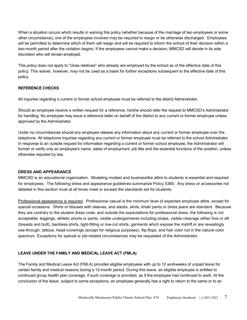When a situation occurs which results in waiving this policy (whether because of the marriage of two employees or some other circumstance), one of the employees involved may be required to resign or be otherwise discharged. Employees will be permitted to determine which of them will resign and will be required to inform the school of their decision within a two-month period after the violation begins. If the employees cannot make a decision, MMCSD will decide in its sole discretion who will remain employed.

This policy does not apply to "close relatives" who already are employed by the school as of the effective date of this policy. This waiver, however, may not be used as a basis for further exceptions subsequent to the effective date of this policy.

# **REFERENCE CHECKS**

All inquiries regarding a current or former school employee must be referred to the district Administrator.

Should an employee receive a written request for a reference, he/she should refer the request to MMCSD's Administrator for handling. No employee may issue a reference letter on behalf of the district to any current or former employee unless approved by the Administrator.

Under no circumstances should any employee release any information about any current or former employee over the telephone. All telephone inquiries regarding any current or former employee must be referred to the school Administrator. In response to an outside request for information regarding a current or former school employee, the Administrator will furnish or verify only an employee's name, dates of employment, job title and the essential functions of the position, unless otherwise required by law.

#### **DRESS AND APPEARANCE**

MMCSD is an educational organization. Modeling modest and businesslike attire to students is essential and required for employees. The following dress and appearance guidelines summarize Policy 5360. Any dress or accessories not detailed in this section must at all times meet or exceed the standards set for students.

Professional appearance is required. Professional casual is the minimum level of expected employee attire, except for special occasions. Shirts or blouses with sleeves, and slacks, skirts, khaki pants or dress jeans are standard. Because they are contrary to the student dress code, and outside the expectations for professional dress, the following is not acceptable: leggings, athletic shorts or pants, visible undergarments including straps, visible cleavage either fore or aft (breasts and butt), backless shirts, tight-fitting or low-cut shirts, garments which expose the midriff or are revealingly see-through, tattoos, head-coverings (except for religious purposes), flip-flops, and hair color not in the natural color spectrum. Exceptions for special or job-related circumstances may be requested of the Administrator.

# **LEAVE UNDER THE FAMILY AND MEDICAL LEAVE ACT (FMLA)**

The Family and Medical Leave Act (FMLA) provides eligible employees with up to 12 workweeks of unpaid leave for certain family and medical reasons during a 12-month period. During this leave, an eligible employee is entitled to continued group health plan coverage, if such coverage is provided, as if the employee had continued to work. At the conclusion of the leave, subject to some exceptions, an employee generally has a right to return to the same or to an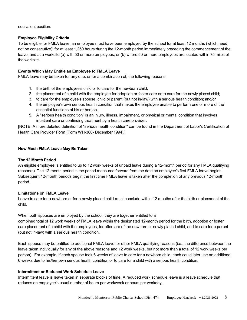equivalent position.

# **Employee Eligibility Criteria**

To be eligible for FMLA leave, an employee must have been employed by the school for at least 12 months (which need not be consecutive); for at least 1,250 hours during the 12-month period immediately preceding the commencement of the leave; and at a worksite (a) with 50 or more employees; or (b) where 50 or more employees are located within 75 miles of the worksite.

# **Events Which May Entitle an Employee to FMLA Leave**

FMLA leave may be taken for any one, or for a combination of, the following reasons:

- 1. the birth of the employee's child or to care for the newborn child;
- 2. the placement of a child with the employee for adoption or foster care or to care for the newly placed child;
- 3. to care for the employee's spouse, child or parent (but not in-law) with a serious health condition; and/or
- 4. the employee's own serious health condition that makes the employee unable to perform one or more of the essential functions of his or her job.
- 5. A "serious health condition" is an injury, illness, impairment, or physical or mental condition that involves inpatient care or continuing treatment by a health care provider.

[NOTE: A more detailed definition of "serious health condition" can be found in the Department of Labor's Certification of Health Care Provider Form (Form WH-380- December 1994).]

# **How Much FMLA Leave May Be Taken**

# **The 12 Month Period**

An eligible employee is entitled to up to 12 work weeks of unpaid leave during a 12-month period for any FMLA qualifying reason(s). The 12-month period is the period measured forward from the date an employee's first FMLA leave begins. Subsequent 12-month periods begin the first time FMLA leave is taken after the completion of any previous 12-month period.

# **Limitations on FMLA Leave**

Leave to care for a newborn or for a newly placed child must conclude within 12 months after the birth or placement of the child.

When both spouses are employed by the school, they are together entitled to a combined total of 12 work weeks of FMLA leave within the designated 12-month period for the birth, adoption or foster care placement of a child with the employees, for aftercare of the newborn or newly placed child, and to care for a parent (but not in-law) with a serious health condition.

Each spouse may be entitled to additional FMLA leave for other FMLA qualifying reasons (i.e., the difference between the leave taken individually for any of the above reasons and 12 work weeks, but not more than a total of 12 work weeks per person). For example, if each spouse took 6 weeks of leave to care for a newborn child, each could later use an additional 6 weeks due to his/her own serious health condition or to care for a child with a serious health condition.

# **Intermittent or Reduced Work Schedule Leave**

Intermittent leave is leave taken in separate blocks of time. A reduced work schedule leave is a leave schedule that reduces an employee's usual number of hours per workweek or hours per workday.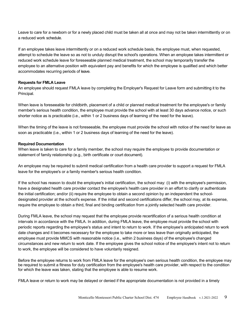Leave to care for a newborn or for a newly placed child must be taken all at once and may not be taken intermittently or on a reduced work schedule.

If an employee takes leave intermittently or on a reduced work schedule basis, the employee must, when requested, attempt to schedule the leave so as not to unduly disrupt the school's operations. When an employee takes intermittent or reduced work schedule leave for foreseeable planned medical treatment, the school may temporarily transfer the employee to an alternative position with equivalent pay and benefits for which the employee is qualified and which better accommodates recurring periods of leave.

#### **Requests for FMLA Leave**

An employee should request FMLA leave by completing the Employer's Request for Leave form and submitting it to the Principal.

When leave is foreseeable for childbirth, placement of a child or planned medical treatment for the employee's or family member's serious health condition, the employee must provide the school with at least 30 days advance notice, or such shorter notice as is practicable (i.e., within 1 or 2 business days of learning of the need for the leave).

When the timing of the leave is not foreseeable, the employee must provide the school with notice of the need for leave as soon as practicable (i.e., within 1 or 2 business days of learning of the need for the leave).

# **Required Documentation**

When leave is taken to care for a family member, the school may require the employee to provide documentation or statement of family relationship (e.g., birth certificate or court document).

An employee may be required to submit medical certification from a health care provider to support a request for FMLA leave for the employee's or a family member's serious health condition.

If the school has reason to doubt the employee's initial certification, the school may: (i) with the employee's permission, have a designated health care provider contact the employee's health care provider in an effort to clarify or authenticate the initial certification; and/or (ii) require the employee to obtain a second opinion by an independent the schooldesignated provider at the school's expense. If the initial and second certifications differ, the school may, at its expense, require the employee to obtain a third, final and binding certification from a jointly selected health care provider.

During FMLA leave, the school may request that the employee provide recertification of a serious health condition at intervals in accordance with the FMLA. In addition, during FMLA leave, the employee must provide the school with periodic reports regarding the employee's status and intent to return to work. If the employee's anticipated return to work date changes and it becomes necessary for the employee to take more or less leave than originally anticipated, the employee must provide MMCS with reasonable notice (i.e., within 2 business days) of the employee's changed circumstances and new return to work date. If the employee gives the school notice of the employee's intent not to return to work, the employee will be considered to have voluntarily resigned.

Before the employee returns to work from FMLA leave for the employee's own serious health condition, the employee may be required to submit a fitness for duty certification from the employee's health care provider, with respect to the condition for which the leave was taken, stating that the employee is able to resume work.

FMLA leave or return to work may be delayed or denied if the appropriate documentation is not provided in a timely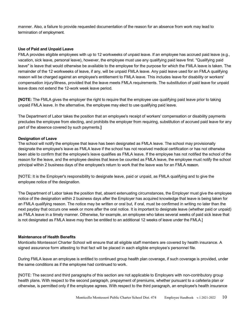manner. Also, a failure to provide requested documentation of the reason for an absence from work may lead to termination of employment.

#### **Use of Paid and Unpaid Leave**

FMLA provides eligible employees with up to 12 workweeks of unpaid leave. If an employee has accrued paid leave (e.g., vacation, sick leave, personal leave), however, the employee must use any qualifying paid leave first. "Qualifying paid leave" is leave that would otherwise be available to the employee for the purpose for which the FMLA leave is taken. The remainder of the 12 workweeks of leave, if any, will be unpaid FMLA leave. Any paid leave used for an FMLA qualifying reason will be charged against an employee's entitlement to FMLA leave. This includes leave for disability or workers' compensation injury/illness, provided that the leave meets FMLA requirements. The substitution of paid leave for unpaid leave does not extend the 12-work week leave period.

**[NOTE:** The FMLA gives the employer the right to require that the employee use qualifying paid leave prior to taking unpaid FMLA leave. In the alternative, the employee may elect to use qualifying paid leave.

The Department of Labor takes the position that an employee's receipt of workers' compensation or disability payments precludes the employee from electing, and prohibits the employer from requiring, substitution of accrued paid leave for any part of the absence covered by such payments.**]**

# **Designation of Leave**

The school will notify the employee that leave has been designated as FMLA leave. The school may provisionally designate the employee's leave as FMLA leave if the school has not received medical certification or has not otherwise been able to confirm that the employee's leave qualifies as FMLA leave. If the employee has not notified the school of the reason for the leave, and the employee desires that leave be counted as FMLA leave, the employee must notify the school principal within 2 business days of the employee's return to work that the leave was for an FMLA reason.

[NOTE: It is the Employer's responsibility to designate leave, paid or unpaid, as FMLA qualifying and to give the employee notice of the designation.

The Department of Labor takes the position that, absent extenuating circumstances, the Employer must give the employee notice of the designation within 2 business days after the Employer has acquired knowledge that leave is being taken for an FMLA qualifying reason. The notice may be written or oral but, if oral, must be confirmed in writing no later than the next payday that occurs one week or more after the oral notice. It is important to designate leave (whether paid or unpaid) as FMLA leave in a timely manner. Otherwise, for example, an employee who takes several weeks of paid sick leave that is not designated as FMLA leave may then be entitled to an additional 12 weeks of leave under the FMLA.]

#### **Maintenance of Health Benefits**

Monticello Montessori Charter School will ensure that all eligible staff members are covered by health insurance. A signed assurance form attesting to that fact will be placed in each eligible employee's personnel file.

During FMLA leave an employee is entitled to continued group health plan coverage, if such coverage is provided, under the same conditions as if the employee had continued to work.

[NOTE: The second and third paragraphs of this section are not applicable to Employers with non-contributory group health plans. With respect to the second paragraph, prepayment of premiums, whether pursuant to a cafeteria plan or otherwise, is permitted only if the employee agrees. With respect to the third paragraph, an employee's health insurance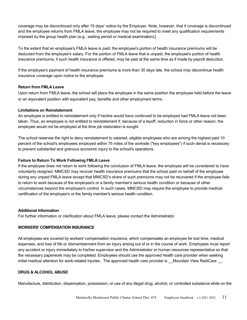coverage may be discontinued only after 15 days' notice by the Employer. Note, however, that if coverage is discontinued and the employee returns from FMLA leave, the employee may not be required to meet any qualification requirements imposed by the group health plan (e.g., waiting period or medical examination).]

To the extent that an employee's FMLA leave is paid, the employee's portion of health insurance premiums will be deducted from the employee's salary. For the portion of FMLA leave that is unpaid, the employee's portion of health insurance premiums, if such health insurance is offered, may be paid at the same time as if made by payroll deduction.

If the employee's payment of health insurance premiums is more than 30 days late, the school may discontinue health insurance coverage upon notice to the employee.

# **Return from FMLA Leave**

Upon return from FMLA leave, the school will place the employee in the same position the employee held before the leave or an equivalent position with equivalent pay, benefits and other employment terms.

# **Limitations on Reinstatement**

An employee is entitled to reinstatement only if he/she would have continued to be employed had FMLA leave not been taken. Thus, an employee is not entitled to reinstatement if, because of a layoff, reduction in force or other reason, the employee would not be employed at the time job restoration is sought.

The school reserves the right to deny reinstatement to salaried, eligible employees who are among the highest paid 10 percent of the school's employees employed within 75 miles of the worksite ("key employees") if such denial is necessary to prevent substantial and grievous economic injury to the school's operations.

# **Failure to Return To Work Following FMLA Leave**

If the employee does not return to work following the conclusion of FMLA leave, the employee will be considered to have voluntarily resigned. MMCSD may recover health insurance premiums that the school paid on behalf of the employee during any unpaid FMLA leave except that MMCSD's share of such premiums may not be recovered if the employee fails to return to work because of the employee's or a family member's serious health condition or because of other circumstances beyond the employee's control. In such cases, MMCSD may require the employee to provide medical certification of the employee's or the family member's serious health condition.

#### **Additional Information**

For further information or clarification about FMLA leave, please contact the Administrator.

#### **WORKERS' COMPENSATION INSURANCE**

All employees are covered by workers' compensation insurance, which compensates an employee for lost time, medical expenses, and loss of life or dismemberment from an injury arising out of or in the course of work. Employees must report any accident or injury immediately to his/her supervisor and the Administrator or human resources representative so that the necessary paperwork may be completed. Employees should use the approved health care provider when seeking initial medical attention for work-related injuries. The approved health care provider is Mountain View RediCare ...

# **DRUG & ALCOHOL ABUSE**

Manufacture, distribution, dispensation, possession, or use of any illegal drug, alcohol, or controlled substance while on the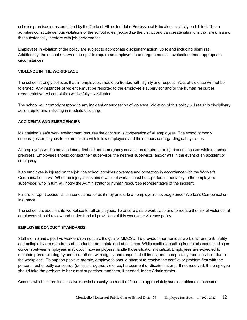school's premises or as prohibited by the Code of Ethics for Idaho Professional Educators is strictly prohibited. These activities constitute serious violations of the school rules, jeopardize the district and can create situations that are unsafe or that substantially interfere with job performance.

Employees in violation of the policy are subject to appropriate disciplinary action, up to and including dismissal. Additionally, the school reserves the right to require an employee to undergo a medical evaluation under appropriate circumstances.

# **VIOLENCE IN THE WORKPLACE**

The school strongly believes that all employees should be treated with dignity and respect. Acts of violence will not be tolerated. Any instances of violence must be reported to the employee's supervisor and/or the human resources representative. All complaints will be fully investigated.

The school will promptly respond to any incident or suggestion of violence. Violation of this policy will result in disciplinary action, up to and including immediate discharge.

# **ACCIDENTS AND EMERGENCIES**

Maintaining a safe work environment requires the continuous cooperation of all employees. The school strongly encourages employees to communicate with fellow employees and their supervisor regarding safety issues.

All employees will be provided care, first-aid and emergency service, as required, for injuries or illnesses while on school premises. Employees should contact their supervisor, the nearest supervisor, and/or 911 in the event of an accident or emergency.

If an employee is injured on the job, the school provides coverage and protection in accordance with the Worker's Compensation Law. When an injury is sustained while at work, it must be reported immediately to the employee's supervisor, who in turn will notify the Administrator or human resources representative of the incident.

Failure to report accidents is a serious matter as it may preclude an employee's coverage under Worker's Compensation Insurance.

The school provides a safe workplace for all employees. To ensure a safe workplace and to reduce the risk of violence, all employees should review and understand all provisions of this workplace violence policy.

# **EMPLOYEE CONDUCT STANDARDS**

Staff morale and a positive work environment are the goal of MMCSD. To provide a harmonious work environment, civility and collegiality are standards of conduct to be maintained at all times. While conflicts resulting from a misunderstanding or concern between employees may occur, how employees handle those situations is critical. Employees are expected to maintain personal integrity and treat others with dignity and respect at all times, and to especially model civil conduct in the workplace. To support positive morale, employees should attempt to resolve the conflict or problem first with the person most directly concerned (unless it regards violence, harassment or discrimination). If not resolved, the employee should take the problem to her direct supervisor, and then, if needed, to the Administrator.

Conduct which undermines positive morale is usually the result of failure to appropriately handle problems or concerns.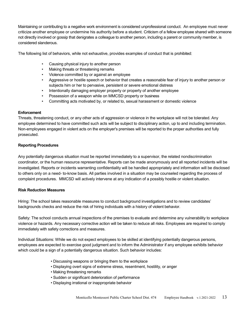Maintaining or contributing to a negative work environment is considered unprofessional conduct. An employee must never criticize another employee or undermine his authority before a student. Criticism of a fellow employee shared with someone not directly involved or gossip that denigrates a colleague to another person, including a parent or community member, is considered slanderous.

The following list of behaviors, while not exhaustive, provides examples of conduct that is prohibited:

- Causing physical injury to another person
- Making threats or threatening remarks
- Violence committed by or against an employee
- Aggressive or hostile speech or behavior that creates a reasonable fear of injury to another person or subjects him or her to pervasive, persistent or severe emotional distress
- Intentionally damaging employer property or property of another employee
- Possession of a weapon while on MMCSD property or business
- Committing acts motivated by, or related to, sexual harassment or domestic violence

#### **Enforcement**

Threats, threatening conduct, or any other acts of aggression or violence in the workplace will not be tolerated. Any employee determined to have committed such acts will be subject to disciplinary action, up to and including termination. Non-employees engaged in violent acts on the employer's premises will be reported to the proper authorities and fully prosecuted.

#### **Reporting Procedures**

Any potentially dangerous situation must be reported immediately to a supervisor, the related nondiscrimination coordinator, or the human resource representative. Reports can be made anonymously and all reported incidents will be investigated. Reports or incidents warranting confidentiality will be handled appropriately and information will be disclosed to others only on a need- to-know basis. All parties involved in a situation may be counseled regarding the process of complaint procedures. MMCSD will actively intervene at any indication of a possibly hostile or violent situation.

#### **Risk Reduction Measures**

Hiring: The school takes reasonable measures to conduct background investigations and to review candidates' backgrounds checks and reduce the risk of hiring individuals with a history of violent behavior.

Safety: The school conducts annual inspections of the premises to evaluate and determine any vulnerability to workplace violence or hazards. Any necessary corrective action will be taken to reduce all risks. Employees are required to comply immediately with safety corrections and measures.

Individual Situations: While we do not expect employees to be skilled at identifying potentially dangerous persons, employees are expected to exercise good judgment and to inform the Administrator if any employee exhibits behavior which could be a sign of a potentially dangerous situation. Such behavior includes:

- Discussing weapons or bringing them to the workplace
- Displaying overt signs of extreme stress, resentment, hostility, or anger
- Making threatening remarks
- Sudden or significant deterioration of performance
- Displaying irrational or inappropriate behavior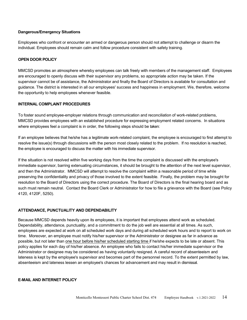## **Dangerous/Emergency Situations**

Employees who confront or encounter an armed or dangerous person should not attempt to challenge or disarm the individual. Employees should remain calm and follow procedure consistent with safety training.

# **OPEN DOOR POLICY**

MMCSD promotes an atmosphere whereby employees can talk freely with members of the management staff. Employees are encouraged to openly discuss with their supervisor any problems, so appropriate action may be taken. If the supervisor cannot be of assistance, the Administrator and finally the Board of Directors is available for consultation and guidance. The district is interested in all our employees' success and happiness in employment. We, therefore, welcome the opportunity to help employees whenever feasible.

# **INTERNAL COMPLAINT PROCEDURES**

To foster sound employee-employer relations through communication and reconciliation of work-related problems, MMCSD provides employees with an established procedure for expressing employment related concerns. In situations where employees feel a complaint is in order, the following steps should be taken:

If an employee believes that he/she has a legitimate work-related complaint, the employee is encouraged to first attempt to resolve the issue(s) through discussions with the person most closely related to the problem. If no resolution is reached, the employee is encouraged to discuss the matter with his immediate supervisor.

If the situation is not resolved within five working days from the time the complaint is discussed with the employee's immediate supervisor, barring extenuating circumstances, it should be brought to the attention of the next level supervisor, and then the Administrator. MMCSD will attempt to resolve the complaint within a reasonable period of time while preserving the confidentiality and privacy of those involved to the extent feasible. Finally, the problem may be brought for resolution to the Board of Directors using the correct procedure. The Board of Directors is the final hearing board and as such must remain neutral. Contact the Board Clerk or Administrator for how to file a grievance with the Board (see Policy 4120, 4120F, 5250).

# **ATTENDANCE, PUNCTUALITY AND DEPENDABILITY**

Because MMCSD depends heavily upon its employees, it is important that employees attend work as scheduled. Dependability, attendance, punctuality, and a commitment to do the job well are essential at all times. As such, employees are expected at work on all scheduled work days and during all scheduled work hours and to report to work on time. Moreover, an employee must notify his/her supervisor or the Administrator or designee as far in advance as possible, but not later than one hour before his/her scheduled starting time if he/she expects to be late or absent. This policy applies for each day of his/her absence. An employee who fails to contact his/her immediate supervisor or the Administrator or designee may be considered as having voluntarily resigned. A careful record of absenteeism and lateness is kept by the employee's supervisor and becomes part of the personnel record. To the extent permitted by law, absenteeism and lateness lessen an employee's chances for advancement and may result in dismissal.

#### **E-MAIL AND INTERNET POLICY**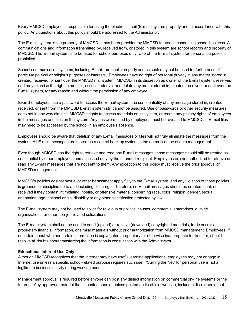Every MMCSD employee is responsible for using the electronic mail (E-mail) system properly and in accordance with this policy. Any questions about this policy should be addressed to the Administrator.

The E-mail system is the property of MMCSD. It has been provided by MMCSD for use in conducting school business. All communications and information transmitted by, received from, or stored in this system are school records and property of MMCSD. The E-mail system is to be used for school purposes only. Use of the E- mail system for personal purposes is prohibited.

School communication systems, including E-mail, are public property and as such may not be used for furtherance of particular political or religious purposes or interests. Employees have no right of personal privacy in any matter stored in, created, received, or sent over the MMCSD mail system. MMCSD, in its discretion as owner of the E-mail system, reserves and may exercise the right to monitor, access, retrieve, and delete any matter stored in, created, received, or sent over the E-mail system, for any reason and without the permission of any employee.

Even if employees use a password to access the E-mail system, the confidentiality of any message stored in, created, received, or sent from the MMCSD E-mail system still cannot be assured. Use of passwords or other security measures does not in any way diminish MMCSD's rights to access materials on its system, or create any privacy rights of employees in the messages and files on the system. Any password used by employees must be revealed to MMCSD as E-mail files may need to be accessed by the school in an employee's absence.

Employees should be aware that deletion of any E-mail messages or files will not truly eliminate the messages from the system. All E-mail messages are stored on a central back-up system in the normal course of data management.

Even though MMCSD has the right to retrieve and read any E-mail messages, those messages should still be treated as confidential by other employees and accessed only by the intended recipient. Employees are not authorized to retrieve or read any E-mail messages that are not sent to them. Any exception to this policy must receive the prior approval of MMCSD management.

MMCSD's policies against sexual or other harassment apply fully to the E-mail system, and any violation of those policies is grounds for discipline up to and including discharge. Therefore, no E-mail messages should be created, sent, or received if they contain intimidating, hostile, or offensive material concerning race, color, religion, gender, sexual orientation, age, national origin, disability or any other classification protected by law.

The E-mail system may not be used to solicit for religious or political causes, commercial enterprises, outside organizations, or other non-job-related solicitations.

The E-mail system shall not be used to send (upload) or receive (download) copyrighted materials, trade secrets, proprietary financial information, or similar materials without prior authorization from MMCSD management. Employees, if uncertain about whether certain information is copyrighted, proprietary, or otherwise inappropriate for transfer, should resolve all doubts about transferring the information in consultation with the Administrator.

#### **Educational Internet Use Only**

Although MMCSD recognizes that the Internet may have useful learning applications, employees may not engage in Internet use unless a specific school-related purpose requires such use. "Surfing the Net" for personal use is not a legitimate business activity during working hours.

Management approval is required before anyone can post any district information on commercial on-line systems or the Internet. Any approved material that is posted should, unless posted on its official website, include a disclaimer in that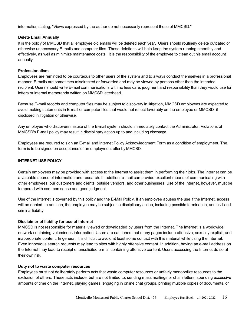information stating, "Views expressed by the author do not necessarily represent those of MMCSD."

#### **Delete Email Annually**

It is the policy of MMCSD that all employee old emails will be deleted each year. Users should routinely delete outdated or otherwise unnecessary E-mails and computer files. These deletions will help keep the system running smoothly and effectively, as well as minimize maintenance costs. It is the responsibility of the employee to clean out his email account annually.

# **Professionalism**

Employees are reminded to be courteous to other users of the system and to always conduct themselves in a professional manner. E-mails are sometimes misdirected or forwarded and may be viewed by persons other than the intended recipient. Users should write E-mail communications with no less care, judgment and responsibility than they would use for letters or internal memoranda written on MMCSD letterhead.

Because E-mail records and computer files may be subject to discovery in litigation, MMCSD employees are expected to avoid making statements in E-mail or computer files that would not reflect favorably on the employee or MMCSD if disclosed in litigation or otherwise.

Any employee who discovers misuse of the E-mail system should immediately contact the Administrator. Violations of MMCSD's E-mail policy may result in disciplinary action up to and including discharge.

Employees are required to sign an E-mail and Internet Policy Acknowledgment Form as a condition of employment. The form is to be signed on acceptance of an employment offer by MMCSD.

# **INTERNET USE POLICY**

Certain employees may be provided with access to the Internet to assist them in performing their jobs. The Internet can be a valuable source of information and research. In addition, e-mail can provide excellent means of communicating with other employees, our customers and clients, outside vendors, and other businesses. Use of the Internet, however, must be tempered with common sense and good judgment.

Use of the Internet is governed by this policy and the E-Mail Policy. If an employee abuses the use if the Internet, access will be denied. In addition, the employee may be subject to disciplinary action, including possible termination, and civil and criminal liability.

#### **Disclaimer of liability for use of Internet**

MMCSD is not responsible for material viewed or downloaded by users from the Internet. The Internet is a worldwide network containing voluminous information. Users are cautioned that many pages include offensive, sexually explicit, and inappropriate content. In general, it is difficult to avoid at least some contact with this material while using the Internet. Even innocuous search requests may lead to sites with highly offensive content. In addition, having an e-mail address on the Internet may lead to receipt of unsolicited e-mail containing offensive content. Users accessing the Internet do so at their own risk.

# **Duty not to waste computer resources**

Employees must not deliberately perform acts that waste computer resources or unfairly monopolize resources to the exclusion of others. These acts include, but are not limited to, sending mass mailings or chain letters, spending excessive amounts of time on the Internet, playing games, engaging in online chat groups, printing multiple copies of documents, or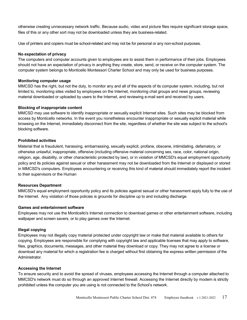otherwise creating unnecessary network traffic. Because audio, video and picture files require significant storage space, files of this or any other sort may not be downloaded unless they are business-related.

Use of printers and copiers must be school-related and may not be for personal or any non-school purposes.

#### **No expectation of privacy**

The computers and computer accounts given to employees are to assist them in performance of their jobs. Employees should not have an expectation of privacy in anything they create, store, send, or receive on the computer system. The computer system belongs to Monticello Montessori Charter School and may only be used for business purposes.

#### **Monitoring computer usage**

MMCSD has the right, but not the duty, to monitor any and all of the aspects of its computer system, including, but not limited to, monitoring sites visited by employees on the Internet, monitoring chat groups and news groups, reviewing material downloaded or uploaded by users to the Internet, and reviewing e-mail sent and received by users.

#### **Blocking of inappropriate content**

MMCSD may use software to identify inappropriate or sexually explicit Internet sites. Such sites may be blocked from access by Monticello networks. In the event you nonetheless encounter inappropriate or sexually explicit material while browsing on the Internet, immediately disconnect from the site, regardless of whether the site was subject to the school's blocking software.

#### **Prohibited activities**

Material that is fraudulent, harassing, embarrassing, sexually explicit, profane, obscene, intimidating, defamatory, or otherwise unlawful, inappropriate, offensive (including offensive material concerning sex, race, color, national origin, religion, age, disability, or other characteristic protected by law), or in violation of MMCSD's equal employment opportunity policy and its policies against sexual or other harassment may not be downloaded from the Internet or displayed or stored in MMCSD's computers. Employees encountering or receiving this kind of material should immediately report the incident to their supervisors or the Human

#### **Resources Department**

MMCSD's equal employment opportunity policy and its policies against sexual or other harassment apply fully to the use of the Internet. Any violation of those policies is grounds for discipline up to and including discharge.

#### **Games and entertainment software**

Employees may not use the Monticello's Internet connection to download games or other entertainment software, including wallpaper and screen savers, or to play games over the Internet.

#### **Illegal copying**

Employees may not illegally copy material protected under copyright law or make that material available to others for copying. Employees are responsible for complying with copyright law and applicable licenses that may apply to software, files, graphics, documents, messages, and other material they download or copy. They may not agree to a license or download any material for which a registration fee is charged without first obtaining the express written permission of the Administrator.

#### **Accessing the Internet**

To ensure security and to avoid the spread of viruses, employees accessing the Internet through a computer attached to MMCSD's network must do so through an approved Internet firewall. Accessing the Internet directly by modem is strictly prohibited unless the computer you are using is not connected to the School's network.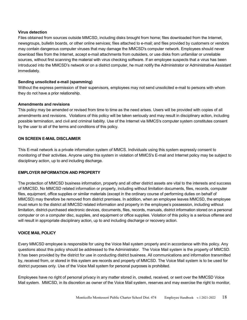#### **Virus detection**

Files obtained from sources outside MMCSD, including disks brought from home; files downloaded from the Internet, newsgroups, bulletin boards, or other online services; files attached to e-mail; and files provided by customers or vendors may contain dangerous computer viruses that may damage the MMCSD's computer network. Employees should never download files from the Internet, accept e-mail attachments from outsiders, or use disks from unfamiliar or unreliable sources, without first scanning the material with virus checking software. If an employee suspects that a virus has been introduced into the MMCSD's network or on a district computer, he must notify the Administrator or Administrative Assistant immediately.

# **Sending unsolicited e-mail (spamming)**

Without the express permission of their supervisors, employees may not send unsolicited e-mail to persons with whom they do not have a prior relationship.

# **Amendments and revisions**

This policy may be amended or revised from time to time as the need arises. Users will be provided with copies of all amendments and revisions. Violations of this policy will be taken seriously and may result in disciplinary action, including possible termination, and civil and criminal liability. Use of the Internet via MMCS's computer system constitutes consent by the user to all of the terms and conditions of this policy.

# **ON SCREEN E-MAIL DISCLAIMER**

This E-mail network is a private information system of MMCS. Individuals using this system expressly consent to monitoring of their activities. Anyone using this system in violation of MMCS's E-mail and Internet policy may be subject to disciplinary action, up to and including discharge.

# **EMPLOYER INFORMATION AND PROPERTY**

The protection of MMCSD business information, property and all other district assets are vital to the interests and success of MMCSD. No MMCSD related information or property, including without limitation documents, files, records, computer files, equipment, office supplies or similar materials (except in the ordinary course of performing duties on behalf of MMCSD) may therefore be removed from district premises. In addition, when an employee leaves MMCSD, the employee must return to the district all MMCSD related information and property in the employee's possession, including without limitation, district-purchased electronic devices, documents, files, records, manuals, district information stored on a personal computer or on a computer disc, supplies, and equipment or office supplies. Violation of this policy is a serious offense and will result in appropriate disciplinary action, up to and including discharge or recovery action.

#### **VOICE MAIL POLICY**

Every MMCSD employee is responsible for using the Voice Mail system properly and in accordance with this policy. Any questions about this policy should be addressed to the Administrator. The Voice Mail system is the property of MMCSD. It has been provided by the district for use in conducting district business. All communications and information transmitted by, received from, or stored in this system are records and property of MMCSD. The Voice Mail system is to be used for district purposes only. Use of the Voice Mail system for personal purposes is prohibited.

Employees have no right of personal privacy in any matter stored in, created, received, or sent over the MMCSD Voice Mail system. MMCSD, in its discretion as owner of the Voice Mail system, reserves and may exercise the right to monitor,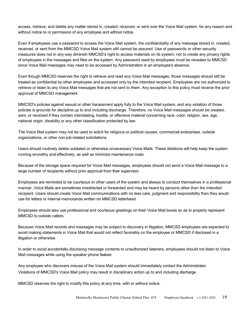access, retrieve, and delete any matter stored in, created, received, or sent over the Voice Mail system, for any reason and without notice to or permission of any employee and without notice.

Even if employees use a password to access the Voice Mail system, the confidentiality of any message stored in, created, received, or sent from the MMCSD Voice Mail system still cannot be assured. Use of passwords or other security measures does not in any way diminish MMCSD's right to access materials on its system, nor to create any privacy rights of employees in the messages and files on the system. Any password used by employees must be revealed to MMCSD since Voice Mail messages may need to be accessed by Administration in an employee's absence.

Even though MMCSD reserves the right to retrieve and read any Voice Mail messages, those messages should still be treated as confidential by other employees and accessed only by the intended recipient. Employees are not authorized to retrieve or listen to any Voice Mail messages that are not sent to them. Any exception to this policy must receive the prior approval of MMCSD management.

MMCSD's policies against sexual or other harassment apply fully to the Voice Mail system, and any violation of those policies is grounds for discipline up to and including discharge. Therefore, no Voice Mail messages should be created, sent, or received if they contain intimidating, hostile, or offensive material concerning race, color, religion, sex, age, national origin, disability or any other classification protected by law.

The Voice Mail system may not be used to solicit for religious or political causes, commercial enterprises, outside organizations, or other non-job-related solicitations.

Users should routinely delete outdated or otherwise unnecessary Voice Mails. These deletions will help keep the system running smoothly and effectively, as well as minimize maintenance costs.

Because of the storage space required for Voice Mail messages, employees should not send a Voice Mail message to a large number of recipients without prior approval from their supervisor.

Employees are reminded to be courteous to other users of the system and always to conduct themselves in a professional manner. Voice Mails are sometimes misdirected or forwarded and may be heard by persons other than the intended recipient. Users should create Voice Mail communications with no less care, judgment and responsibility than they would use for letters or internal memoranda written on MMCSD letterhead.

Employees should also use professional and courteous greetings on their Voice Mail boxes so as to properly represent MMCSD to outside callers.

Because Voice Mail records and messages may be subject to discovery in litigation, MMCSD employees are expected to avoid making statements in Voice Mail that would not reflect favorably on the employee or MMCSD if disclosed in a litigation or otherwise.

In order to avoid accidentally disclosing message contents to unauthorized listeners, employees should not listen to Voice Mail messages while using the speaker phone feature.

Any employee who discovers misuse of the Voice Mail system should immediately contact the Administrator. Violations of MMCSD's Voice Mail policy may result in disciplinary action up to and including discharge.

MMCSD reserves the right to modify this policy at any time, with or without notice.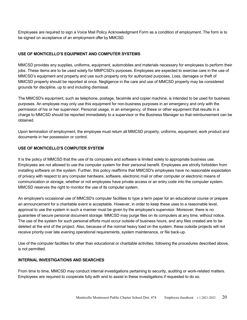Employees are required to sign a Voice Mail Policy Acknowledgment Form as a condition of employment. The form is to be signed on acceptance of an employment offer by MMCSD.

# **USE OF MONTICELLO'S EQUIPMENT AND COMPUTER SYSTEMS**

MMCSD provides any supplies, uniforms, equipment, automobiles and materials necessary for employees to perform their jobs. These items are to be used solely for MMPCSD's purposes. Employees are expected to exercise care in the use of MMCSD's equipment and property and use such property only for authorized purposes. Loss, damages or theft of MMCSD property should be reported at once. Negligence in the care and use of MMCSD property may be considered grounds for discipline, up to and including dismissal.

The MMCSD's equipment, such as telephone, postage, facsimile and copier machine, is intended to be used for business purposes. An employee may only use this equipment for non-business purposes in an emergency and only with the permission of his or her supervisor. Personal usage, in an emergency, of these or other equipment that results in a charge to MMCSD should be reported immediately to a supervisor or the Business Manager so that reimbursement can be obtained.

Upon termination of employment, the employee must return all MMCSD property, uniforms, equipment, work product and documents in her possession or control.

# **USE OF MONTICELLO'S COMPUTER SYSTEM**

It is the policy of MMCSD that the use of its computers and software is limited solely to appropriate business use. Employees are not allowed to use the computer system for their personal benefit. Employees are strictly forbidden from installing software on the system. Further, this policy reaffirms that MMCSD's employees have no reasonable expectation of privacy with respect to any computer hardware, software, electronic mail or other computer or electronic means of communication or storage, whether or not employees have private access or an entry code into the computer system. MMCSD reserves the right to monitor the use of its computer system.

An employee's occasional use of MMCSD's computer facilities to type a term paper for an educational course or prepare an announcement for a charitable event is acceptable. However, in order to keep these uses to a reasonable level, approval to use the system in such a manner must be given by the employee's supervisor. Moreover, there is no guarantee of secure personal document storage: MMCSD may purge files on its computers at any time, without notice. The use of the system for such personal efforts must occur outside of business hours, and any files created are to be deleted at the end of the project. Also, because of the normal heavy load on the system, these outside projects will not receive priority over late evening operational requirements, system maintenance, or file back-up.

Use of the computer facilities for other than educational or charitable activities, following the procedures described above, is not permitted.

# **INTERNAL INVESTIGATIONS AND SEARCHES**

From time to time, MMCSD may conduct internal investigations pertaining to security, auditing or work-related matters. Employees are required to cooperate fully with and to assist in these investigations if requested to do so.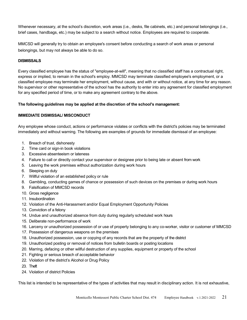Whenever necessary, at the school's discretion, work areas (i.e., desks, file cabinets, etc.) and personal belongings (i.e., brief cases, handbags, etc.) may be subject to a search without notice. Employees are required to cooperate.

MMCSD will generally try to obtain an employee's consent before conducting a search of work areas or personal belongings, but may not always be able to do so.

# **DISMISSALS**

Every classified employee has the status of "employee-at-will", meaning that no classified staff has a contractual right, express or implied, to remain in the school's employ. MMCSD may terminate classified employee's employment, or a classified employee may terminate her employment, without cause, and with or without notice, at any time for any reason. No supervisor or other representative of the school has the authority to enter into any agreement for classified employment for any specified period of time, or to make any agreement contrary to the above.

# **The following guidelines may be applied at the discretion of the school's management:**

# **IMMEDIATE DISMISSAL/ MISCONDUCT**

Any employee whose conduct, actions or performance violates or conflicts with the district's policies may be terminated immediately and without warning. The following are examples of grounds for immediate dismissal of an employee:

- 1. Breach of trust, dishonesty
- 2. Time card or sign-in book violations
- 3. Excessive absenteeism or lateness
- 4. Failure to call or directly contact your supervisor or designee prior to being late or absent from work
- 5. Leaving the work premises without authorization during work hours
- 6. Sleeping on duty
- 7. Willful violation of an established policy or rule
- 8. Gambling, conducting games of chance or possession of such devices on the premises or during work hours
- 9. Falsification of MMCSD records
- 10. Gross negligence
- 11. Insubordination
- 12. Violation of the Anti-Harassment and/or Equal Employment Opportunity Policies
- 13. Conviction of a felony
- 14. Undue and unauthorized absence from duty during regularly scheduled work hours
- 15. Deliberate non-performance of work
- 16. Larceny or unauthorized possession of or use of property belonging to any co-worker, visitor or customer of MMCSD
- 17. Possession of dangerous weapons on the premises
- 18. Unauthorized possession, use or copying of any records that are the property of the district
- 19. Unauthorized posting or removal of notices from bulletin boards or posting locations
- 20. Marring, defacing or other willful destruction of any supplies, equipment or property of the school
- 21. Fighting or serious breach of acceptable behavior
- 22. Violation of the district's Alcohol or Drug Policy
- 23. Theft
- 24. Violation of district Policies

This list is intended to be representative of the types of activities that may result in disciplinary action. It is not exhaustive,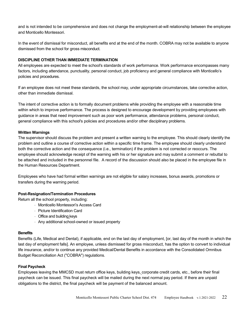and is not intended to be comprehensive and does not change the employment-at-will relationship between the employee and Monticello Montessori.

In the event of dismissal for misconduct, all benefits end at the end of the month. COBRA may not be available to anyone dismissed from the school for gross misconduct.

# **DISCIPLINE OTHER THAN IMMEDIATE TERMINATION**

All employees are expected to meet the school's standards of work performance. Work performance encompasses many factors, including attendance, punctuality, personal conduct, job proficiency and general compliance with Monticello's policies and procedures.

If an employee does not meet these standards, the school may, under appropriate circumstances, take corrective action, other than immediate dismissal.

The intent of corrective action is to formally document problems while providing the employee with a reasonable time within which to improve performance. The process is designed to encourage development by providing employees with guidance in areas that need improvement such as poor work performance, attendance problems, personal conduct, general compliance with this school's policies and procedures and/or other disciplinary problems.

#### **Written Warnings**

The supervisor should discuss the problem and present a written warning to the employee. This should clearly identify the problem and outline a course of corrective action within a specific time frame. The employee should clearly understand both the corrective action and the consequence (i.e., termination) if the problem is not corrected or reoccurs. The employee should acknowledge receipt of the warning with his or her signature and may submit a comment or rebuttal to be attached and included in the personnel file. A record of the discussion should also be placed in the employee file in the Human Resources Department.

Employees who have had formal written warnings are not eligible for salary increases, bonus awards, promotions or transfers during the warning period.

#### **Post-Resignation/Termination Procedures**

Return all the school property, including:

- ⋅ Monticello Montessori's Access Card
- ⋅ Picture Identification Card
- ⋅ Office and building keys
- ⋅ Any additional school-owned or issued property

# **Benefits**

Benefits (Life, Medical and Dental), if applicable, end on the last day of employment, [or, last day of the month in which the last day of employment falls]. An employee, unless dismissed for gross misconduct, has the option to convert to individual life insurance, and/or to continue any provided Medical/Dental Benefits in accordance with the Consolidated Omnibus Budget Reconciliation Act ("COBRA") regulations.

#### **Final Paycheck**

Employees leaving the MMCSD must return office keys, building keys, corporate credit cards, etc., before their final paycheck can be issued. This final paycheck will be mailed during the next normal pay period. If there are unpaid obligations to the district, the final paycheck will be payment of the balanced amount.